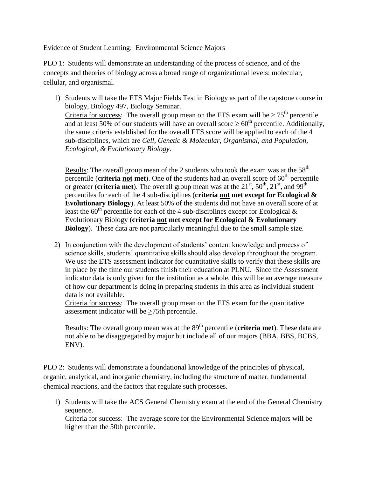Evidence of Student Learning: Environmental Science Majors

PLO 1: Students will demonstrate an understanding of the process of science, and of the concepts and theories of biology across a broad range of organizational levels: molecular, cellular, and organismal.

1) Students will take the ETS Major Fields Test in Biology as part of the capstone course in biology, Biology 497, Biology Seminar. Criteria for success: The overall group mean on the ETS exam will be  $\geq 75^{\text{th}}$  percentile and at least 50% of our students will have an overall score  $\geq 60^{th}$  percentile. Additionally, the same criteria established for the overall ETS score will be applied to each of the 4 sub-disciplines, which are *Cell, Genetic & Molecular, Organismal, and Population, Ecological, & Evolutionary Biology*.

Results: The overall group mean of the 2 students who took the exam was at the  $58<sup>th</sup>$  $\overline{\mathbf{p}}$  percentile (**criteria <u>not</u>** met). One of the students had an overall score of 60<sup>th</sup> percentile or greater (**criteria met**). The overall group mean was at the  $21<sup>st</sup>$ ,  $50<sup>th</sup>$ ,  $21<sup>st</sup>$ , and  $99<sup>th</sup>$ percentiles for each of the 4 sub-disciplines (**criteria not met except for Ecological & Evolutionary Biology**). At least 50% of the students did not have an overall score of at least the 60<sup>th</sup> percentile for each of the 4 sub-disciplines except for Ecological  $\&$ Evolutionary Biology (**criteria not met except for Ecological & Evolutionary Biology**). These data are not particularly meaningful due to the small sample size.

2) In conjunction with the development of students' content knowledge and process of science skills, students' quantitative skills should also develop throughout the program. We use the ETS assessment indicator for quantitative skills to verify that these skills are in place by the time our students finish their education at PLNU. Since the Assessment indicator data is only given for the institution as a whole, this will be an average measure of how our department is doing in preparing students in this area as individual student data is not available.

Criteria for success: The overall group mean on the ETS exam for the quantitative assessment indicator will be >75th percentile.

Results: The overall group mean was at the 89<sup>th</sup> percentile (**criteria met**). These data are not able to be disaggregated by major but include all of our majors (BBA, BBS, BCBS, ENV).

PLO 2: Students will demonstrate a foundational knowledge of the principles of physical, organic, analytical, and inorganic chemistry, including the structure of matter, fundamental chemical reactions, and the factors that regulate such processes.

1) Students will take the ACS General Chemistry exam at the end of the General Chemistry sequence.

Criteria for success: The average score for the Environmental Science majors will be higher than the 50th percentile.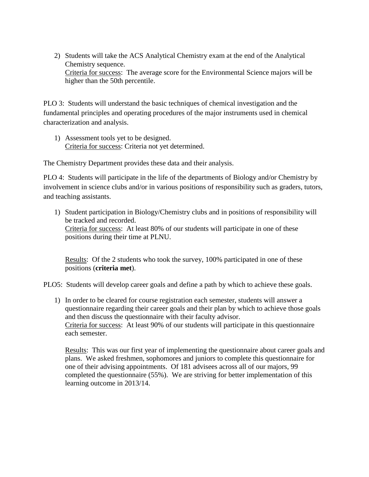2) Students will take the ACS Analytical Chemistry exam at the end of the Analytical Chemistry sequence. Criteria for success: The average score for the Environmental Science majors will be higher than the 50th percentile.

PLO 3: Students will understand the basic techniques of chemical investigation and the fundamental principles and operating procedures of the major instruments used in chemical characterization and analysis.

1) Assessment tools yet to be designed. Criteria for success: Criteria not yet determined.

The Chemistry Department provides these data and their analysis.

PLO 4: Students will participate in the life of the departments of Biology and/or Chemistry by involvement in science clubs and/or in various positions of responsibility such as graders, tutors, and teaching assistants.

1) Student participation in Biology/Chemistry clubs and in positions of responsibility will be tracked and recorded. Criteria for success: At least 80% of our students will participate in one of these positions during their time at PLNU.

Results: Of the 2 students who took the survey, 100% participated in one of these positions (**criteria met**).

PLO5: Students will develop career goals and define a path by which to achieve these goals.

1) In order to be cleared for course registration each semester, students will answer a questionnaire regarding their career goals and their plan by which to achieve those goals and then discuss the questionnaire with their faculty advisor. Criteria for success: At least 90% of our students will participate in this questionnaire each semester.

Results: This was our first year of implementing the questionnaire about career goals and plans. We asked freshmen, sophomores and juniors to complete this questionnaire for one of their advising appointments. Of 181 advisees across all of our majors, 99 completed the questionnaire (55%). We are striving for better implementation of this learning outcome in 2013/14.